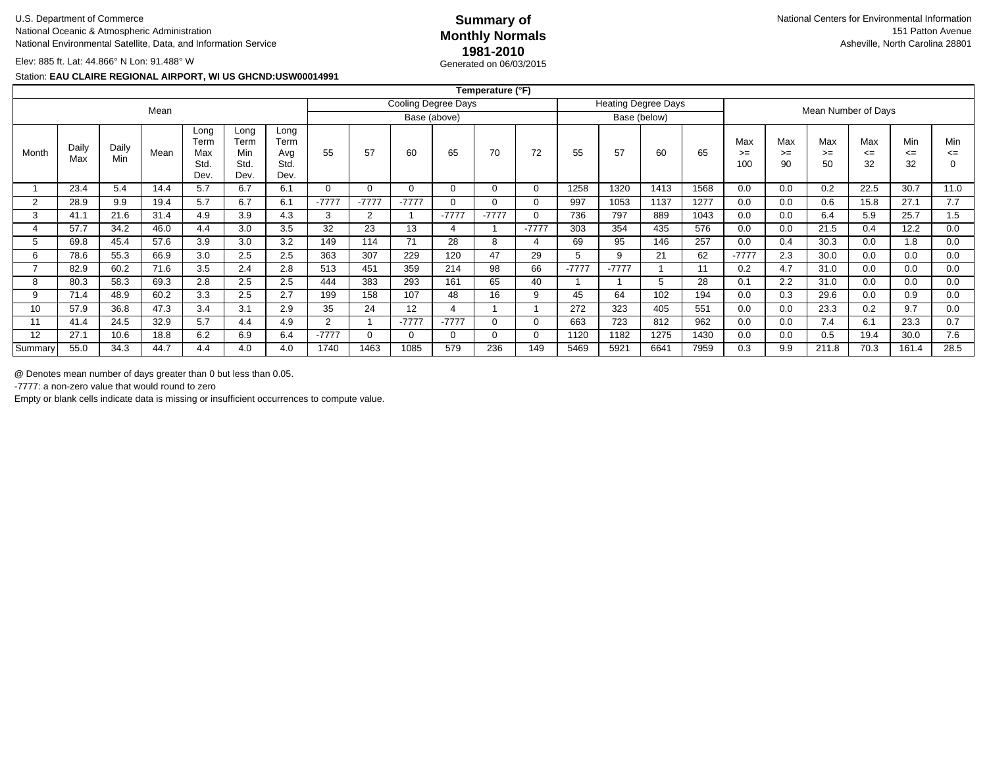# **Summary of1981-2010**Generated on 06/03/2015

Elev: 885 ft. Lat: 44.866° N Lon: 91.488° W

#### Station: **EAU CLAIRE REGIONAL AIRPORT, WI US GHCND:USW00014991**

|                |              |              |      |                                     |                                     |                                     |                |                |         |              | Temperature (°F) |                            |         |         |      |                     |                  |                   |                   |                     |                     |                    |
|----------------|--------------|--------------|------|-------------------------------------|-------------------------------------|-------------------------------------|----------------|----------------|---------|--------------|------------------|----------------------------|---------|---------|------|---------------------|------------------|-------------------|-------------------|---------------------|---------------------|--------------------|
| Mean           |              |              |      |                                     |                                     | Cooling Degree Days                 |                |                |         |              |                  | <b>Heating Degree Days</b> |         |         |      | Mean Number of Days |                  |                   |                   |                     |                     |                    |
|                |              |              |      |                                     | Base (above)                        |                                     |                |                |         | Base (below) |                  |                            |         |         |      |                     |                  |                   |                   |                     |                     |                    |
| Month          | Daily<br>Max | Daily<br>Min | Mean | Long<br>Term<br>Max<br>Std.<br>Dev. | Long<br>Term<br>Min<br>Std.<br>Dev. | Long<br>Term<br>Avg<br>Std.<br>Dev. | 55             | 57             | 60      | 65           | 70               | 72                         | 55      | 57      | 60   | 65                  | Max<br>>=<br>100 | Max<br>$>=$<br>90 | Max<br>$>=$<br>50 | Max<br>$\leq$<br>32 | Min<br>$\leq$<br>32 | Min<br>$\leq$<br>0 |
|                | 23.4         | 5.4          | 14.4 | 5.7                                 | 6.7                                 | 6.1                                 | $\Omega$       |                |         | $\Omega$     | $\Omega$         | $\Omega$                   | 1258    | 1320    | 1413 | 1568                | 0.0              | 0.0               | 0.2               | 22.5                | 30.7                | 11.0               |
| $\overline{2}$ | 28.9         | 9.9          | 19.4 | 5.7                                 | 6.7                                 | 6.1                                 | $-7777$        | $-7777$        | $-7777$ | $\Omega$     | $\Omega$         | $\Omega$                   | 997     | 1053    | 1137 | 1277                | 0.0              | 0.0               | 0.6               | 15.8                | 27.1                | 7.7                |
| 3              | 41.1         | 21.6         | 31.4 | 4.9                                 | 3.9                                 | 4.3                                 | 3              | $\overline{2}$ |         | $-7777$      | $-7777$          | 0                          | 736     | 797     | 889  | 1043                | 0.0              | 0.0               | 6.4               | 5.9                 | 25.7                | 1.5                |
|                | 57.7         | 34.2         | 46.0 | 4.4                                 | 3.0                                 | 3.5                                 | 32             | 23             | 13      | 4            |                  | $-7777$                    | 303     | 354     | 435  | 576                 | 0.0              | 0.0               | 21.5              | 0.4                 | 12.2                | 0.0                |
| b              | 69.8         | 45.4         | 57.6 | 3.9                                 | 3.0                                 | 3.2                                 | 149            | 114            | 71      | 28           | 8                |                            | 69      | 95      | 146  | 257                 | 0.0              | 0.4               | 30.3              | 0.0                 | 1.8                 | 0.0                |
| 6              | 78.6         | 55.3         | 66.9 | 3.0                                 | 2.5                                 | 2.5                                 | 363            | 307            | 229     | 120          | 47               | 29                         | 5       | 9       | 21   | 62                  | $-7777$          | 2.3               | 30.0              | 0.0                 | 0.0                 | 0.0                |
| -              | 82.9         | 60.2         | 71.6 | 3.5                                 | 2.4                                 | 2.8                                 | 513            | 451            | 359     | 214          | 98               | 66                         | $-7777$ | $-7777$ |      | 11                  | 0.2              | 4.7               | 31.0              | 0.0                 | 0.0                 | 0.0                |
| 8              | 80.3         | 58.3         | 69.3 | 2.8                                 | 2.5                                 | 2.5                                 | 444            | 383            | 293     | 161          | 65               | 40                         |         |         | 5    | 28                  | 0.1              | 2.2               | 31.0              | 0.0                 | 0.0                 | 0.0                |
| 9              | 71.4         | 48.9         | 60.2 | 3.3                                 | 2.5                                 | 2.7                                 | 199            | 158            | 107     | 48           | 16               | 9                          | 45      | 64      | 102  | 194                 | 0.0              | 0.3               | 29.6              | 0.0                 | 0.9                 | 0.0                |
| 10             | 57.9         | 36.8         | 47.3 | 3.4                                 | 3.1                                 | 2.9                                 | 35             | 24             | 12      | 4            |                  |                            | 272     | 323     | 405  | 551                 | 0.0              | 0.0               | 23.3              | 0.2                 | 9.7                 | 0.0                |
| 11             | 41.4         | 24.5         | 32.9 | 5.7                                 | 4.4                                 | 4.9                                 | $\overline{2}$ |                | $-7777$ | $-7777$      | $\Omega$         | 0                          | 663     | 723     | 812  | 962                 | 0.0              | 0.0               | 7.4               | 6.1                 | 23.3                | 0.7                |
| 12             | 27.1         | 10.6         | 18.8 | 6.2                                 | 6.9                                 | 6.4                                 | $-7777$        |                |         | 0            | $\Omega$         | 0                          | 1120    | 1182    | 1275 | 1430                | 0.0              | 0.0               | 0.5               | 19.4                | 30.0                | 7.6                |
| Summary        | 55.0         | 34.3         | 44.7 | 4.4                                 | 4.0                                 | 4.0                                 | 1740           | 1463           | 1085    | 579          | 236              | 149                        | 5469    | 5921    | 6641 | 7959                | 0.3              | 9.9               | 211.8             | 70.3                | 161.4               | 28.5               |

**@** Denotes mean number of days greater than 0 but less than 0.05.<br>-7777: a non-zero value that would round to zero.

-7777: a non-zero value that would round to zero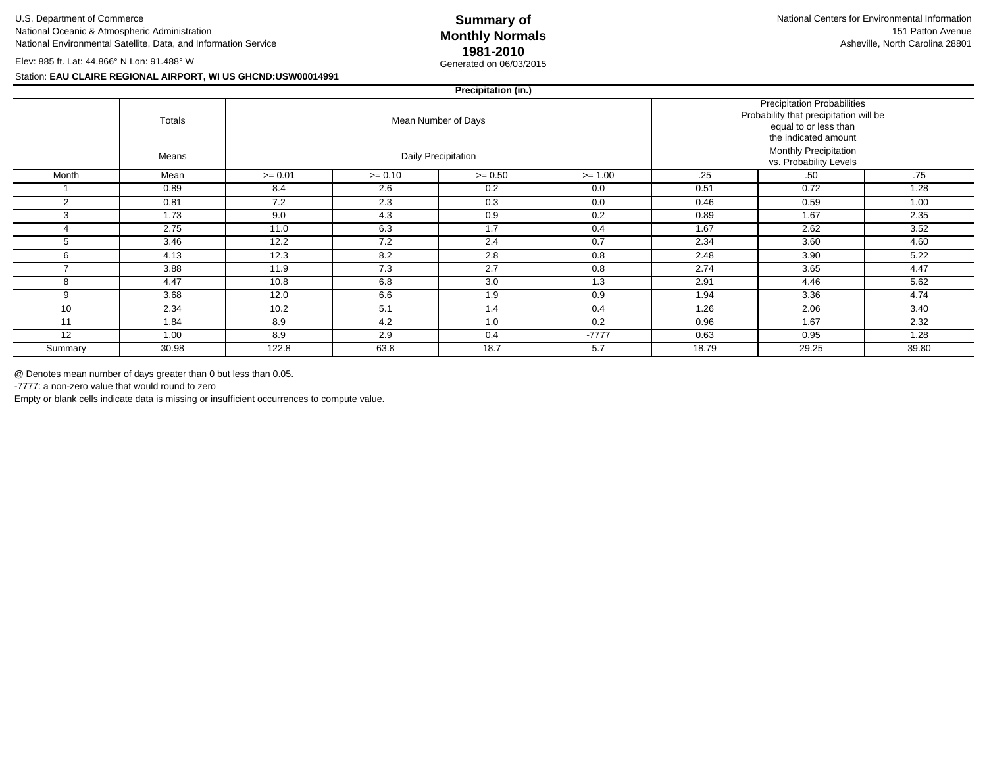# **Summary of1981-2010**Generated on 06/03/2015

Elev: 885 ft. Lat: 44.866° N Lon: 91.488° W

#### Station: **EAU CLAIRE REGIONAL AIRPORT, WI US GHCND:USW00014991**

|         | Precipitation (in.) |           |                                                                                                                               |                     |                                                 |       |       |       |  |  |  |  |  |  |
|---------|---------------------|-----------|-------------------------------------------------------------------------------------------------------------------------------|---------------------|-------------------------------------------------|-------|-------|-------|--|--|--|--|--|--|
|         | Totals              |           | <b>Precipitation Probabilities</b><br>Probability that precipitation will be<br>equal to or less than<br>the indicated amount |                     |                                                 |       |       |       |  |  |  |  |  |  |
|         | Means               |           |                                                                                                                               | Daily Precipitation | Monthly Precipitation<br>vs. Probability Levels |       |       |       |  |  |  |  |  |  |
| Month   | Mean                | $>= 0.01$ | $>= 0.10$                                                                                                                     | $>= 0.50$           | $>= 1.00$                                       | .25   | .50   | .75   |  |  |  |  |  |  |
|         | 0.89                | 8.4       | 2.6                                                                                                                           | 0.2                 | 0.0                                             | 0.51  | 0.72  | 1.28  |  |  |  |  |  |  |
| 2       | 0.81                | 7.2       | 2.3                                                                                                                           | 0.3                 | 0.0                                             | 0.46  | 0.59  | 1.00  |  |  |  |  |  |  |
| 3       | 1.73                | 9.0       | 4.3                                                                                                                           | 0.9                 | 0.2                                             | 0.89  | 1.67  | 2.35  |  |  |  |  |  |  |
|         | 2.75                | 11.0      | 6.3                                                                                                                           | 1.7                 | 0.4                                             | 1.67  | 2.62  | 3.52  |  |  |  |  |  |  |
|         | 3.46                | 12.2      | 7.2                                                                                                                           | 2.4                 | 0.7                                             | 2.34  | 3.60  | 4.60  |  |  |  |  |  |  |
| 6       | 4.13                | 12.3      | 8.2                                                                                                                           | 2.8                 | 0.8                                             | 2.48  | 3.90  | 5.22  |  |  |  |  |  |  |
| -       | 3.88                | 11.9      | 7.3                                                                                                                           | 2.7                 | 0.8                                             | 2.74  | 3.65  | 4.47  |  |  |  |  |  |  |
| 8       | 4.47                | 10.8      | 6.8                                                                                                                           | 3.0                 | 1.3                                             | 2.91  | 4.46  | 5.62  |  |  |  |  |  |  |
| 9       | 3.68                | 12.0      | 6.6                                                                                                                           | 1.9                 | 0.9                                             | 1.94  | 3.36  | 4.74  |  |  |  |  |  |  |
| 10      | 2.34                | 10.2      | 5.1                                                                                                                           | 1.4                 | 0.4                                             | 1.26  | 2.06  | 3.40  |  |  |  |  |  |  |
| 11      | 1.84                | 8.9       | 4.2                                                                                                                           | 1.0                 | 0.2                                             | 0.96  | 1.67  | 2.32  |  |  |  |  |  |  |
| 12      | 1.00                | 8.9       | 2.9                                                                                                                           | 0.4                 | $-7777$                                         | 0.63  | 0.95  | 1.28  |  |  |  |  |  |  |
| Summary | 30.98               | 122.8     | 63.8                                                                                                                          | 18.7                | 5.7                                             | 18.79 | 29.25 | 39.80 |  |  |  |  |  |  |
|         |                     |           |                                                                                                                               |                     |                                                 |       |       |       |  |  |  |  |  |  |

**@** Denotes mean number of days greater than 0 but less than 0.05.<br>-7777: a non-zero value that would round to zero.

-7777: a non-zero value that would round to zero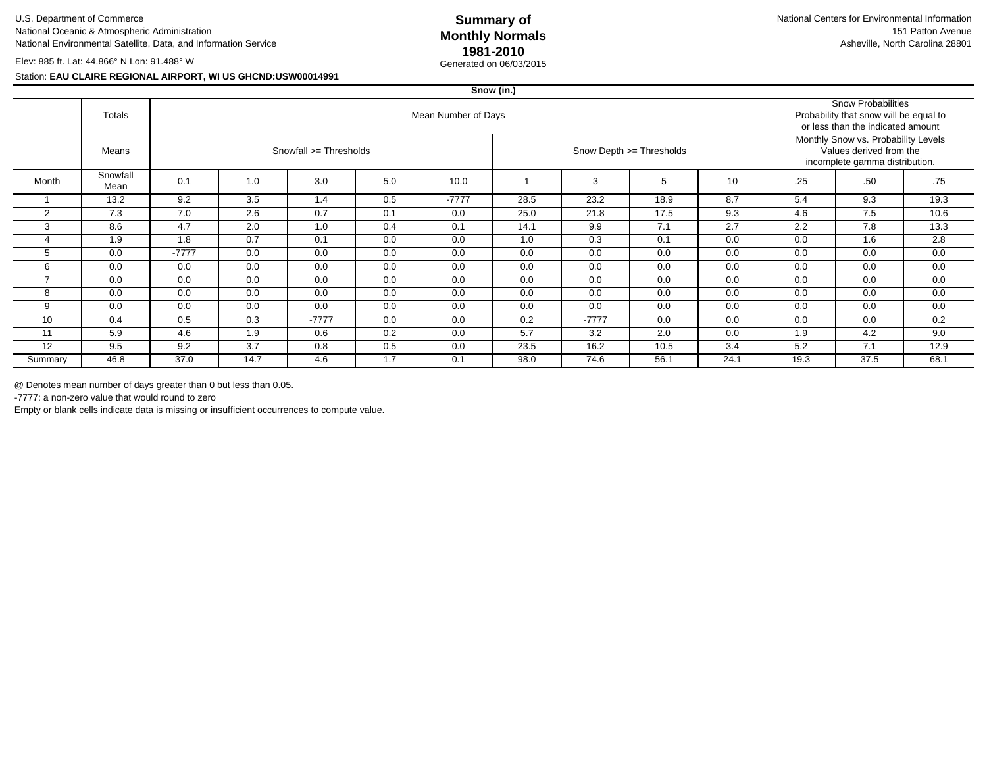# **Summary of1981-2010**Generated on 06/03/2015

Elev: 885 ft. Lat: 44.866° N Lon: 91.488° W

#### Station: **EAU CLAIRE REGIONAL AIRPORT, WI US GHCND:USW00014991**

|                | Snow (in.)       |                        |      |         |     |         |      |         |                          |                                                                                                  |      |                                                                                                          |      |  |  |
|----------------|------------------|------------------------|------|---------|-----|---------|------|---------|--------------------------|--------------------------------------------------------------------------------------------------|------|----------------------------------------------------------------------------------------------------------|------|--|--|
|                | Totals           | Mean Number of Days    |      |         |     |         |      |         |                          |                                                                                                  |      | <b>Snow Probabilities</b><br>Probability that snow will be equal to<br>or less than the indicated amount |      |  |  |
|                | Means            | Snowfall >= Thresholds |      |         |     |         |      |         | Snow Depth >= Thresholds | Monthly Snow vs. Probability Levels<br>Values derived from the<br>incomplete gamma distribution. |      |                                                                                                          |      |  |  |
| Month          | Snowfall<br>Mean | 0.1                    | 1.0  | 3.0     | 5.0 | 10.0    |      | 3       | 5                        | 10                                                                                               | .25  | .50                                                                                                      | .75  |  |  |
| $\overline{1}$ | 13.2             | 9.2                    | 3.5  | 1.4     | 0.5 | $-7777$ | 28.5 | 23.2    | 18.9                     | 8.7                                                                                              | 5.4  | 9.3                                                                                                      | 19.3 |  |  |
| $\overline{2}$ | 7.3              | 7.0                    | 2.6  | 0.7     | 0.1 | 0.0     | 25.0 | 21.8    | 17.5                     | 9.3                                                                                              | 4.6  | 7.5                                                                                                      | 10.6 |  |  |
| 3              | 8.6              | 4.7                    | 2.0  | 1.0     | 0.4 | 0.1     | 14.1 | 9.9     | 7.1                      | 2.7                                                                                              | 2.2  | 7.8                                                                                                      | 13.3 |  |  |
|                | 1.9              | 1.8                    | 0.7  | 0.1     | 0.0 | 0.0     | 1.0  | 0.3     | 0.1                      | 0.0                                                                                              | 0.0  | 1.6                                                                                                      | 2.8  |  |  |
| 5              | 0.0              | $-7777$                | 0.0  | 0.0     | 0.0 | 0.0     | 0.0  | 0.0     | 0.0                      | 0.0                                                                                              | 0.0  | 0.0                                                                                                      | 0.0  |  |  |
| 6              | 0.0              | 0.0                    | 0.0  | 0.0     | 0.0 | 0.0     | 0.0  | 0.0     | 0.0                      | 0.0                                                                                              | 0.0  | 0.0                                                                                                      | 0.0  |  |  |
| $\overline{ }$ | 0.0              | 0.0                    | 0.0  | 0.0     | 0.0 | 0.0     | 0.0  | 0.0     | 0.0                      | 0.0                                                                                              | 0.0  | 0.0                                                                                                      | 0.0  |  |  |
| 8              | 0.0              | 0.0                    | 0.0  | 0.0     | 0.0 | 0.0     | 0.0  | 0.0     | 0.0                      | 0.0                                                                                              | 0.0  | 0.0                                                                                                      | 0.0  |  |  |
| 9              | 0.0              | 0.0                    | 0.0  | 0.0     | 0.0 | 0.0     | 0.0  | 0.0     | 0.0                      | 0.0                                                                                              | 0.0  | 0.0                                                                                                      | 0.0  |  |  |
| 10             | 0.4              | 0.5                    | 0.3  | $-7777$ | 0.0 | 0.0     | 0.2  | $-7777$ | 0.0                      | 0.0                                                                                              | 0.0  | 0.0                                                                                                      | 0.2  |  |  |
| 11             | 5.9              | 4.6                    | 1.9  | 0.6     | 0.2 | 0.0     | 5.7  | 3.2     | 2.0                      | 0.0                                                                                              | 1.9  | 4.2                                                                                                      | 9.0  |  |  |
| 12             | 9.5              | 9.2                    | 3.7  | 0.8     | 0.5 | 0.0     | 23.5 | 16.2    | 10.5                     | 3.4                                                                                              | 5.2  | 7.1                                                                                                      | 12.9 |  |  |
| Summary        | 46.8             | 37.0                   | 14.7 | 4.6     | 1.7 | 0.1     | 98.0 | 74.6    | 56.1                     | 24.1                                                                                             | 19.3 | 37.5                                                                                                     | 68.1 |  |  |

**@** Denotes mean number of days greater than 0 but less than 0.05.<br>-7777: a non-zero value that would round to zero.

-7777: a non-zero value that would round to zero